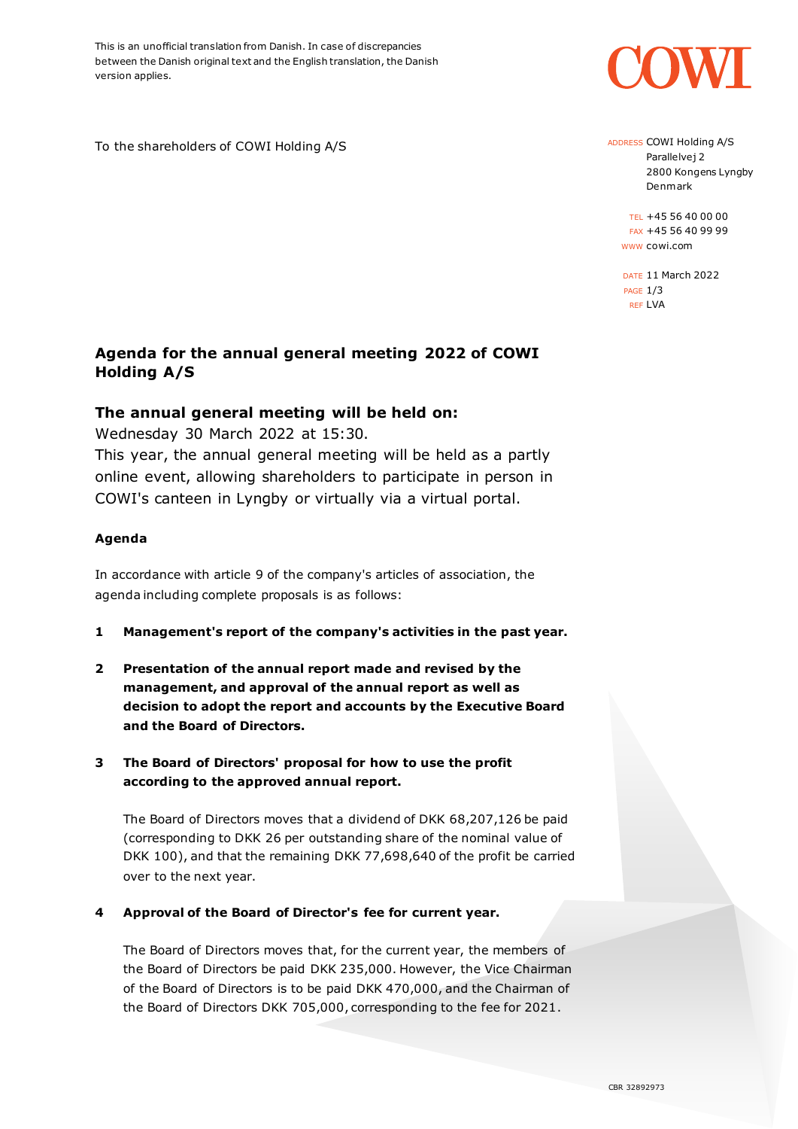This is an unofficial translation from Danish. In case of discrepancies between the Danish original text and the English translation, the Danish version applies.

To the shareholders of COWI Holding A/S



ADDRESS COWI Holding A/S Parallelvej 2 2800 Kongens Lyngby Denmark

TEL +45 56 40 00 00 FAX +45 56 40 99 99 WWW cowi.com

DATE 11 March 2022 PAGE 1/3 REF LVA

# **Agenda for the annual general meeting 2022 of COWI Holding A/S**

# **The annual general meeting will be held on:**

Wednesday 30 March 2022 at 15:30.

This year, the annual general meeting will be held as a partly online event, allowing shareholders to participate in person in COWI's canteen in Lyngby or virtually via a virtual portal.

## **Agenda**

In accordance with article 9 of the company's articles of association, the agenda including complete proposals is as follows:

- **1 Management's report of the company's activities in the past year.**
- **2 Presentation of the annual report made and revised by the management, and approval of the annual report as well as decision to adopt the report and accounts by the Executive Board and the Board of Directors.**
- **3 The Board of Directors' proposal for how to use the profit according to the approved annual report.**

The Board of Directors moves that a dividend of DKK 68,207,126 be paid (corresponding to DKK 26 per outstanding share of the nominal value of DKK 100), and that the remaining DKK 77,698,640 of the profit be carried over to the next year.

**4 Approval of the Board of Director's fee for current year.** 

The Board of Directors moves that, for the current year, the members of the Board of Directors be paid DKK 235,000. However, the Vice Chairman of the Board of Directors is to be paid DKK 470,000, and the Chairman of the Board of Directors DKK 705,000, corresponding to the fee for 2021.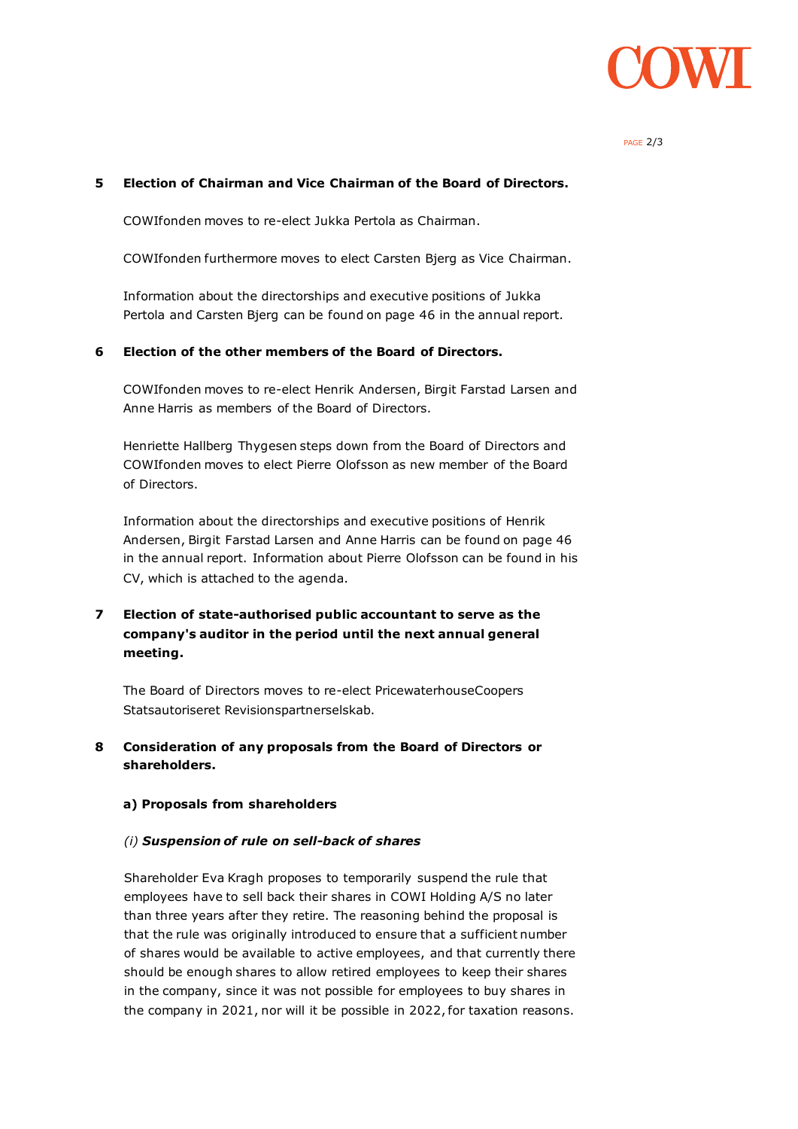

PAGE 2/3

#### **5 Election of Chairman and Vice Chairman of the Board of Directors.**

COWIfonden moves to re-elect Jukka Pertola as Chairman.

COWIfonden furthermore moves to elect Carsten Bjerg as Vice Chairman.

Information about the directorships and executive positions of Jukka Pertola and Carsten Bjerg can be found on page 46 in the annual report.

## **6 Election of the other members of the Board of Directors.**

COWIfonden moves to re-elect Henrik Andersen, Birgit Farstad Larsen and Anne Harris as members of the Board of Directors.

Henriette Hallberg Thygesen steps down from the Board of Directors and COWIfonden moves to elect Pierre Olofsson as new member of the Board of Directors.

Information about the directorships and executive positions of Henrik Andersen, Birgit Farstad Larsen and Anne Harris can be found on page 46 in the annual report. Information about Pierre Olofsson can be found in his CV, which is attached to the agenda.

## **7 Election of state-authorised public accountant to serve as the company's auditor in the period until the next annual general meeting.**

The Board of Directors moves to re-elect PricewaterhouseCoopers Statsautoriseret Revisionspartnerselskab.

## **8 Consideration of any proposals from the Board of Directors or shareholders.**

#### **a) Proposals from shareholders**

#### *(i) Suspension of rule on sell-back of shares*

Shareholder Eva Kragh proposes to temporarily suspend the rule that employees have to sell back their shares in COWI Holding A/S no later than three years after they retire. The reasoning behind the proposal is that the rule was originally introduced to ensure that a sufficient number of shares would be available to active employees, and that currently there should be enough shares to allow retired employees to keep their shares in the company, since it was not possible for employees to buy shares in the company in 2021, nor will it be possible in 2022, for taxation reasons.